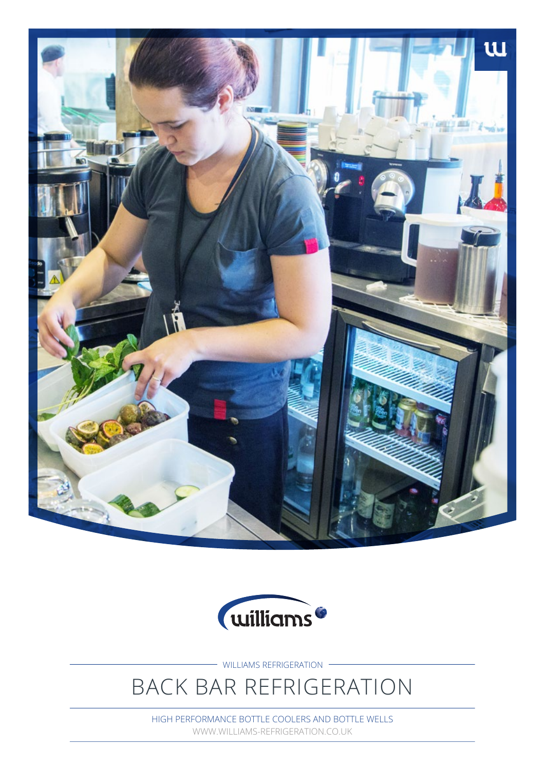



WILLIAMS REFRIGERATION

# BACK BAR REFRIGERATION

HIGH PERFORMANCE BOTTLE COOLERS AND BOTTLE WELLS WWW.WILLIAMS-REFRIGERATION.CO.UK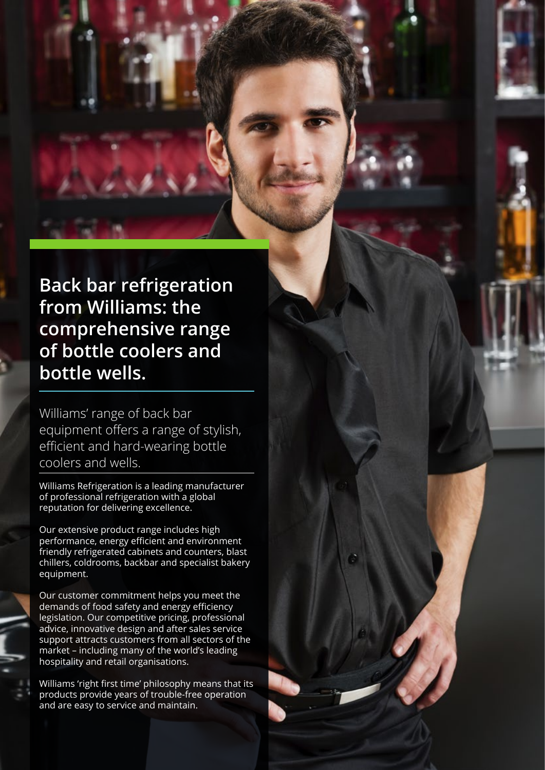**Back bar refrigeration from Williams: the comprehensive range of bottle coolers and bottle wells.**

Williams' range of back bar equipment offers a range of stylish, efficient and hard-wearing bottle coolers and wells.

Williams Refrigeration is a leading manufacturer of professional refrigeration with a global reputation for delivering excellence.

Our extensive product range includes high performance, energy efficient and environment friendly refrigerated cabinets and counters, blast chillers, coldrooms, backbar and specialist bakery equipment.

Our customer commitment helps you meet the demands of food safety and energy efficiency legislation. Our competitive pricing, professional advice, innovative design and after sales service support attracts customers from all sectors of the market – including many of the world's leading hospitality and retail organisations.

Williams 'right first time' philosophy means that its products provide years of trouble-free operation and are easy to service and maintain.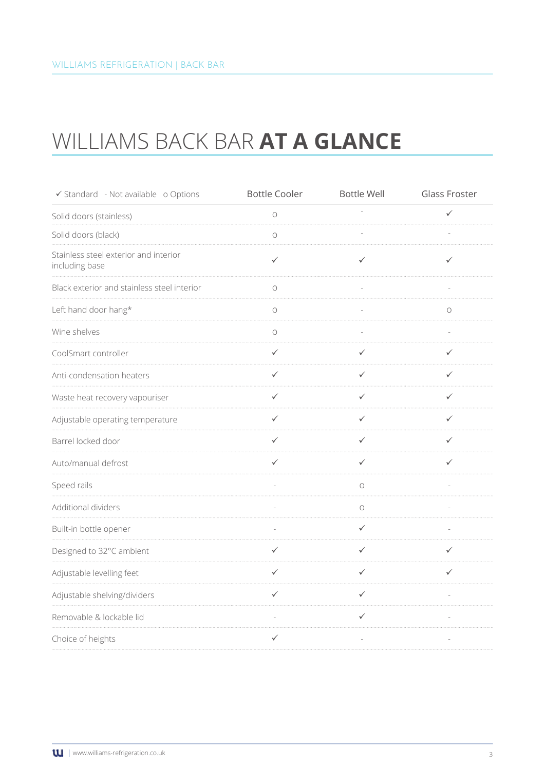# WILLIAMS BACK BAR **AT A GLANCE**

| ✔ Standard - Not available o Options                    | <b>Bottle Cooler</b> | <b>Bottle Well</b> | <b>Glass Froster</b> |
|---------------------------------------------------------|----------------------|--------------------|----------------------|
| Solid doors (stainless)                                 | $\bigcirc$           |                    | ✓                    |
| Solid doors (black)                                     | $\circ$              |                    |                      |
| Stainless steel exterior and interior<br>including base | $\checkmark$         | ✓                  | ✓                    |
| Black exterior and stainless steel interior             | $\bigcirc$           |                    |                      |
| Left hand door hang*                                    | $\bigcirc$           |                    | О                    |
| Wine shelves                                            | $\circ$              |                    |                      |
| CoolSmart controller                                    | $\checkmark$         | $\checkmark$       | ✓                    |
| Anti-condensation heaters                               | $\checkmark$         | $\checkmark$       | $\checkmark$         |
| Waste heat recovery vapouriser                          | $\checkmark$         | $\checkmark$       | $\checkmark$         |
| Adjustable operating temperature                        | $\checkmark$         | $\checkmark$       | ✓                    |
| Barrel locked door                                      | ✓                    | ✓                  | ✓                    |
| Auto/manual defrost                                     | ✓                    | ✓                  | ✓                    |
| Speed rails                                             |                      | $\bigcirc$         |                      |
| Additional dividers                                     |                      | $\bigcirc$         |                      |
| Built-in bottle opener                                  |                      | $\checkmark$       |                      |
| Designed to 32°C ambient                                | ✓                    | $\checkmark$       |                      |
| Adjustable levelling feet                               | $\checkmark$         | $\checkmark$       | $\checkmark$         |
| Adjustable shelving/dividers                            | $\checkmark$         | $\checkmark$       |                      |
| Removable & lockable lid                                |                      | ✓                  |                      |
| Choice of heights                                       | ✓                    |                    |                      |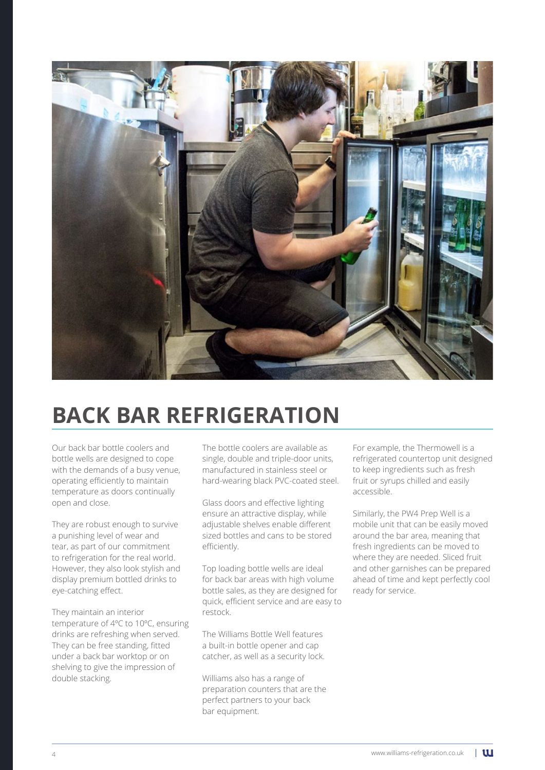

# **BACK BAR REFRIGERATION**

Our back bar bottle coolers and bottle wells are designed to cope with the demands of a busy venue, operating efficiently to maintain temperature as doors continually open and close.

They are robust enough to survive a punishing level of wear and tear, as part of our commitment to refrigeration for the real world. However, they also look stylish and display premium bottled drinks to eye-catching effect.

They maintain an interior temperature of 4ºC to 10ºC, ensuring drinks are refreshing when served. They can be free standing, fitted under a back bar worktop or on shelving to give the impression of double stacking.

The bottle coolers are available as single, double and triple-door units, manufactured in stainless steel or hard-wearing black PVC-coated steel.

Glass doors and effective lighting ensure an attractive display, while adjustable shelves enable different sized bottles and cans to be stored efficiently.

Top loading bottle wells are ideal for back bar areas with high volume bottle sales, as they are designed for quick, efficient service and are easy to restock.

The Williams Bottle Well features a built-in bottle opener and cap catcher, as well as a security lock.

Williams also has a range of preparation counters that are the perfect partners to your back bar equipment.

For example, the Thermowell is a refrigerated countertop unit designed to keep ingredients such as fresh fruit or syrups chilled and easily accessible.

Similarly, the PW4 Prep Well is a mobile unit that can be easily moved around the bar area, meaning that fresh ingredients can be moved to where they are needed. Sliced fruit and other garnishes can be prepared ahead of time and kept perfectly cool ready for service.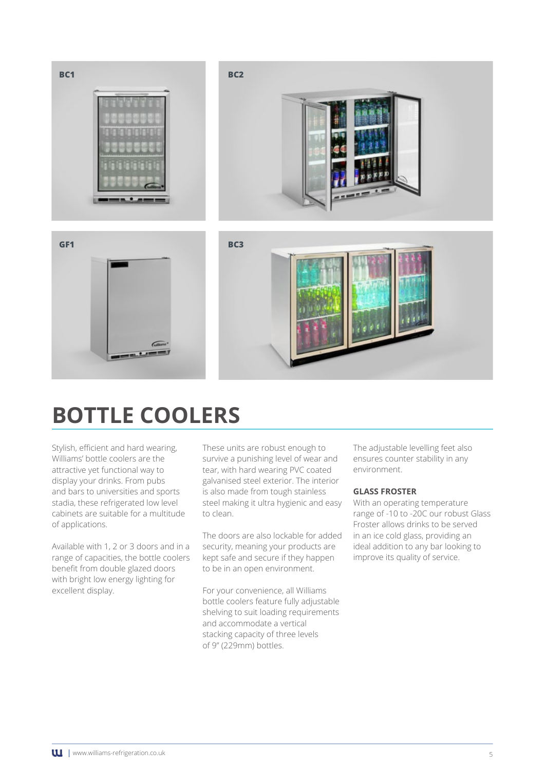

# **BOTTLE COOLERS**

Stylish, efficient and hard wearing, Williams' bottle coolers are the attractive yet functional way to display your drinks. From pubs and bars to universities and sports stadia, these refrigerated low level cabinets are suitable for a multitude of applications.

Available with 1, 2 or 3 doors and in a range of capacities, the bottle coolers benefit from double glazed doors with bright low energy lighting for excellent display.

These units are robust enough to survive a punishing level of wear and tear, with hard wearing PVC coated galvanised steel exterior. The interior is also made from tough stainless steel making it ultra hygienic and easy to clean.

The doors are also lockable for added security, meaning your products are kept safe and secure if they happen to be in an open environment.

For your convenience, all Williams bottle coolers feature fully adjustable shelving to suit loading requirements and accommodate a vertical stacking capacity of three levels of 9" (229mm) bottles.

The adjustable levelling feet also ensures counter stability in any environment.

#### **GLASS FROSTER**

With an operating temperature range of -10 to -20C our robust Glass Froster allows drinks to be served in an ice cold glass, providing an ideal addition to any bar looking to improve its quality of service.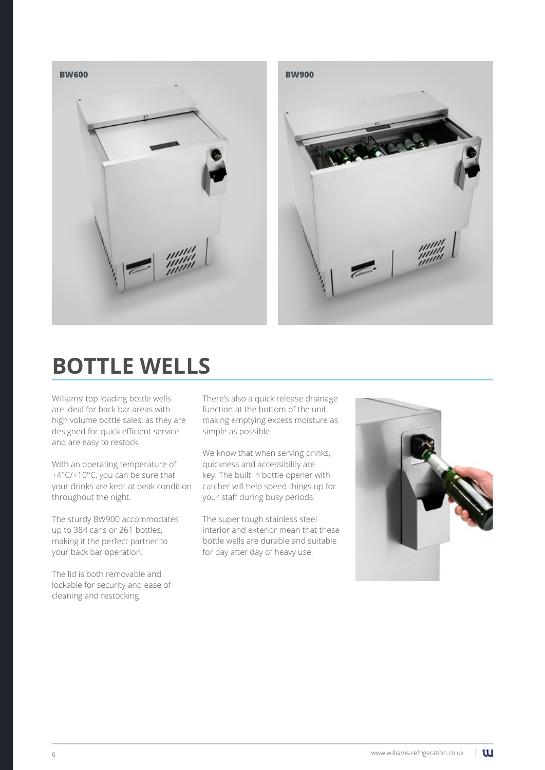

# **BOTTLE WELLS**

Williams' top loading bottle wells are ideal for back bar areas with high volume bottle sales, as they are designed for quick efficient service and are easy to restock.

With an operating temperature of +4°C/+10°C, you can be sure that your drinks are kept at peak condition throughout the night.

The sturdy BW900 accommodates up to 384 cans or 261 bottles, making it the perfect partner to your back bar operation.

The lid is both removable and lockable for security and ease of cleaning and restocking.

There's also a quick release drainage function at the bottom of the unit, making emptying excess moisture as simple as possible.

We know that when serving drinks, quickness and accessibility are key. The built in bottle opener with catcher will help speed things up for your staff during busy periods.

The super tough stainless steel interior and exterior mean that these bottle wells are durable and suitable for day after day of heavy use.

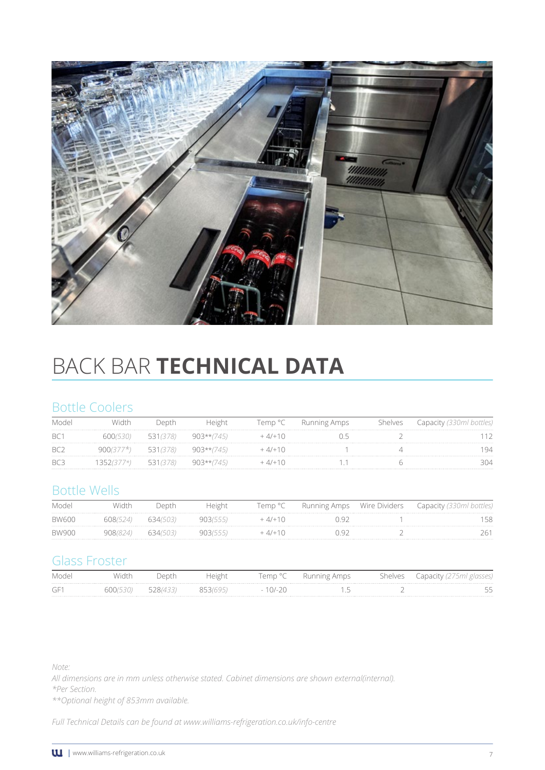

# BACK BAR **TECHNICAL DATA**

### Bottle Coolers

|                 |                 |                 | Temp °C | Running Amps | helves |    |
|-----------------|-----------------|-----------------|---------|--------------|--------|----|
| BC <sup>-</sup> |                 | 903**/<br>7451  |         |              |        |    |
| BC.             | $\sim$ $\sim$ 1 | 903**(.<br>745. |         |              |        | 94 |
| BC3             |                 | ソリドァック<br>145   |         |              |        |    |

## Bottle Wells

| Model        |          |          | Height | remp °C   | Running Amps | Wire Dividers | apacity / |
|--------------|----------|----------|--------|-----------|--------------|---------------|-----------|
| <b>BW600</b> | 608(524) | 634(503) |        |           |              |               | .         |
| <b>BW900</b> |          | 634(503) |        | $11 + 11$ |              |               |           |

## Glass Froster

| Mode     | $\Lambda$ i $\sim$ +<br>'VIOI | Depth                         | , emp             | TIDS | Shelves | anacity |
|----------|-------------------------------|-------------------------------|-------------------|------|---------|---------|
| --<br>JЕ |                               | 1814 R R'<br><b>Selection</b> | $\sqrt{2}$<br>$-$ |      |         |         |

*Note:*

*All dimensions are in mm unless otherwise stated. Cabinet dimensions are shown external(internal).* 

*\*Per Section.*

*\*\*Optional height of 853mm available.*

*Full Technical Details can be found at www.williams-refrigeration.co.uk/info-centre*